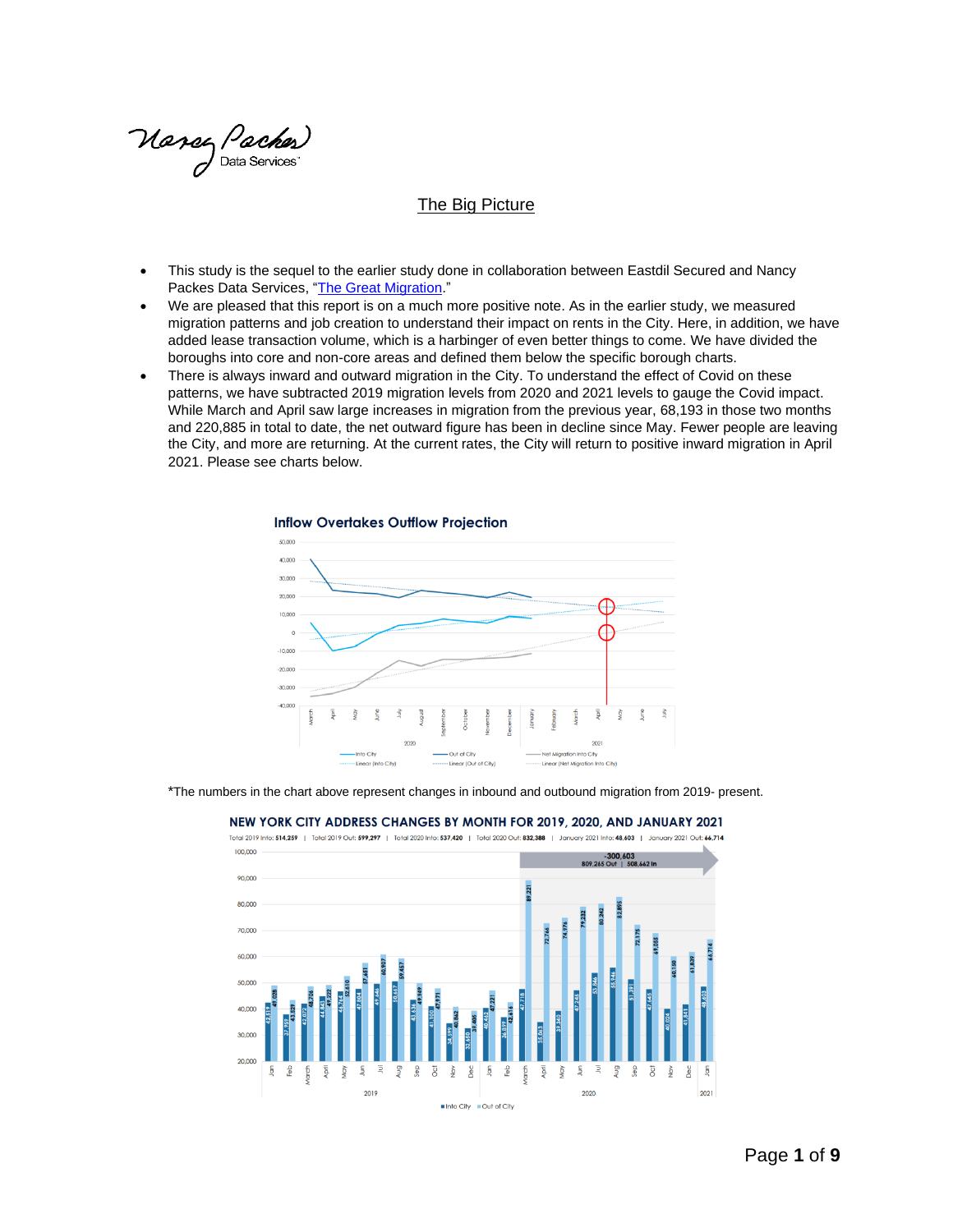Manez Paches)<br>Data Services

#### The Big Picture

- This study is the sequel to the earlier study done in collaboration between Eastdil Secured and Nancy Packes Data Services, ["The Great Migration.](http://www.nancypackesinc.com/wp-content/uploads/2020/10/New-York-City-Migration-Memo-10.29.2020.pdf)"
- We are pleased that this report is on a much more positive note. As in the earlier study, we measured migration patterns and job creation to understand their impact on rents in the City. Here, in addition, we have added lease transaction volume, which is a harbinger of even better things to come. We have divided the boroughs into core and non-core areas and defined them below the specific borough charts.
- There is always inward and outward migration in the City. To understand the effect of Covid on these patterns, we have subtracted 2019 migration levels from 2020 and 2021 levels to gauge the Covid impact. While March and April saw large increases in migration from the previous year, 68,193 in those two months and 220,885 in total to date, the net outward figure has been in decline since May. Fewer people are leaving the City, and more are returning. At the current rates, the City will return to positive inward migration in April 2021. Please see charts below.



\*The numbers in the chart above represent changes in inbound and outbound migration from 2019- present.



#### NEW YORK CITY ADDRESS CHANGES BY MONTH FOR 2019, 2020, AND JANUARY 2021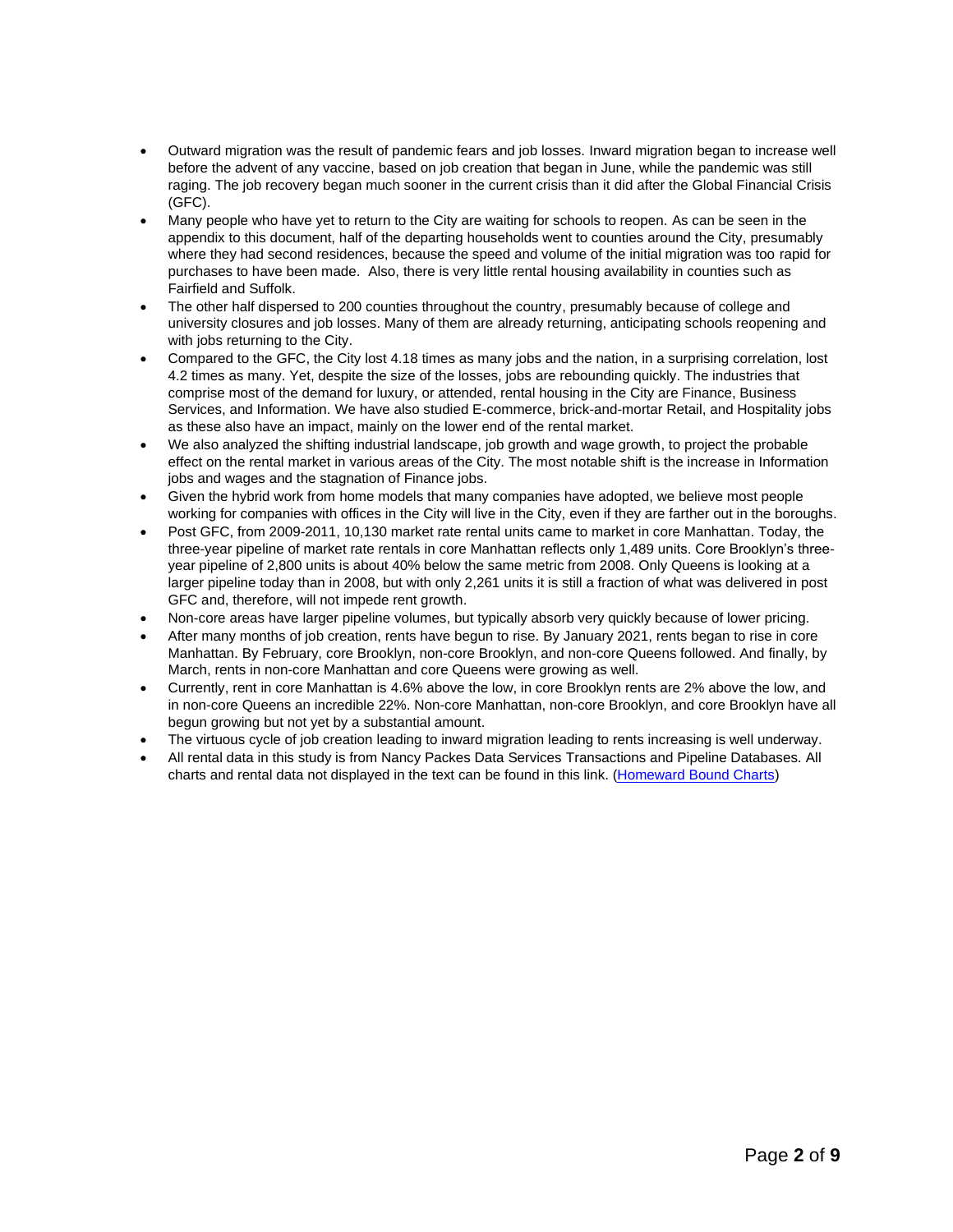- Outward migration was the result of pandemic fears and job losses. Inward migration began to increase well before the advent of any vaccine, based on job creation that began in June, while the pandemic was still raging. The job recovery began much sooner in the current crisis than it did after the Global Financial Crisis (GFC).
- Many people who have yet to return to the City are waiting for schools to reopen. As can be seen in the appendix to this document, half of the departing households went to counties around the City, presumably where they had second residences, because the speed and volume of the initial migration was too rapid for purchases to have been made. Also, there is very little rental housing availability in counties such as Fairfield and Suffolk.
- The other half dispersed to 200 counties throughout the country, presumably because of college and university closures and job losses. Many of them are already returning, anticipating schools reopening and with jobs returning to the City.
- Compared to the GFC, the City lost 4.18 times as many jobs and the nation, in a surprising correlation, lost 4.2 times as many. Yet, despite the size of the losses, jobs are rebounding quickly. The industries that comprise most of the demand for luxury, or attended, rental housing in the City are Finance, Business Services, and Information. We have also studied E-commerce, brick-and-mortar Retail, and Hospitality jobs as these also have an impact, mainly on the lower end of the rental market.
- We also analyzed the shifting industrial landscape, job growth and wage growth, to project the probable effect on the rental market in various areas of the City. The most notable shift is the increase in Information jobs and wages and the stagnation of Finance jobs.
- Given the hybrid work from home models that many companies have adopted, we believe most people working for companies with offices in the City will live in the City, even if they are farther out in the boroughs.
- Post GFC, from 2009-2011, 10,130 market rate rental units came to market in core Manhattan. Today, the three-year pipeline of market rate rentals in core Manhattan reflects only 1,489 units. Core Brooklyn's threeyear pipeline of 2,800 units is about 40% below the same metric from 2008. Only Queens is looking at a larger pipeline today than in 2008, but with only 2,261 units it is still a fraction of what was delivered in post GFC and, therefore, will not impede rent growth.
- Non-core areas have larger pipeline volumes, but typically absorb very quickly because of lower pricing.
- After many months of job creation, rents have begun to rise. By January 2021, rents began to rise in core Manhattan. By February, core Brooklyn, non-core Brooklyn, and non-core Queens followed. And finally, by March, rents in non-core Manhattan and core Queens were growing as well.
- Currently, rent in core Manhattan is 4.6% above the low, in core Brooklyn rents are 2% above the low, and in non-core Queens an incredible 22%. Non-core Manhattan, non-core Brooklyn, and core Brooklyn have all begun growing but not yet by a substantial amount.
- The virtuous cycle of job creation leading to inward migration leading to rents increasing is well underway.
- All rental data in this study is from Nancy Packes Data Services Transactions and Pipeline Databases. All charts and rental data not displayed in the text can be found in this link. [\(Homeward Bound Charts\)](http://www.nancypackesinc.com/wp-content/uploads/2021/03/Homeward-Bound-Appendix.pdf)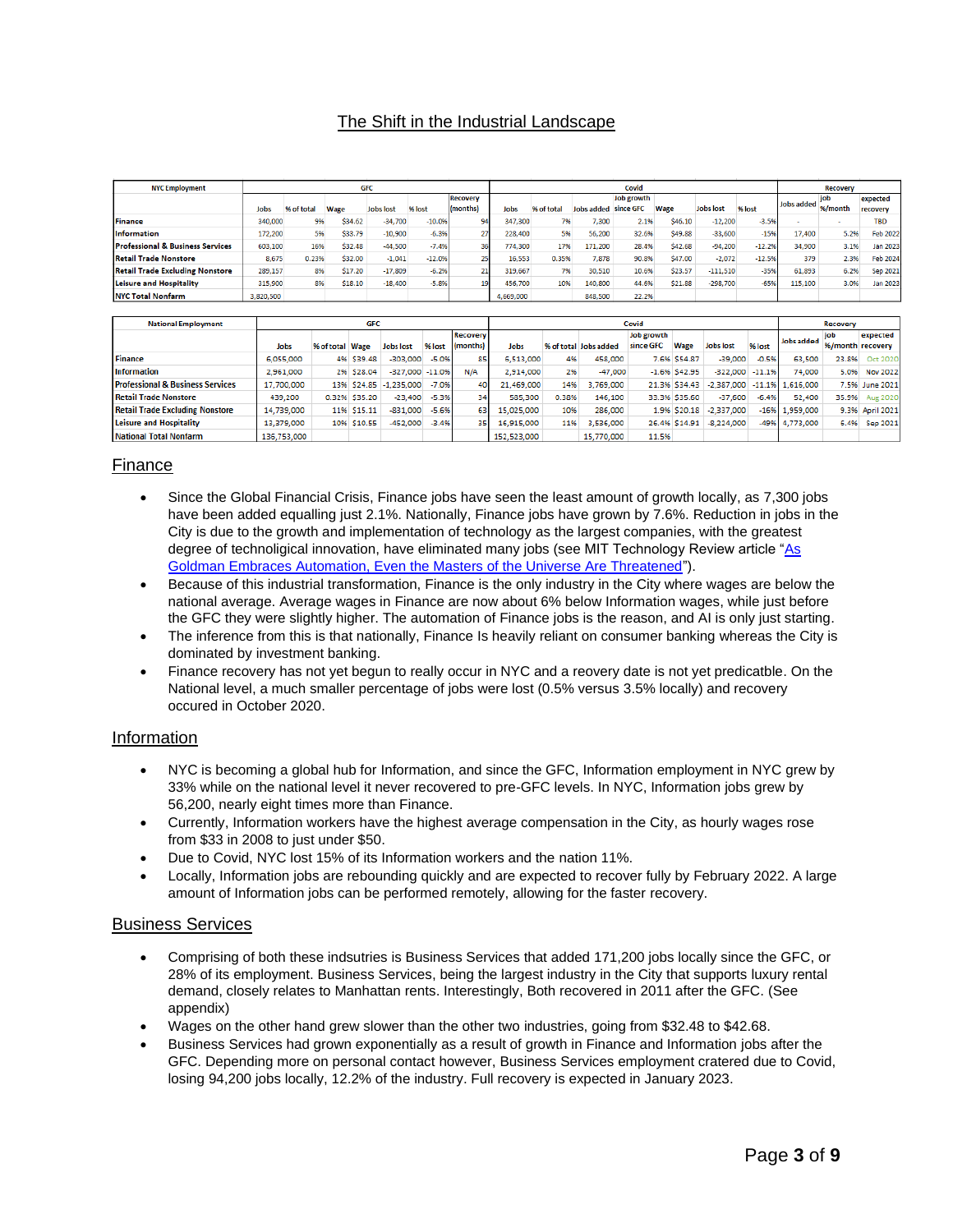# The Shift in the Industrial Landscape

| <b>NYC Employment</b>                       | <b>GFC</b> |            |         |                  |          |                 | Covid     |            |            |            |         |                  | <b>Recovery</b> |            |         |                 |
|---------------------------------------------|------------|------------|---------|------------------|----------|-----------------|-----------|------------|------------|------------|---------|------------------|-----------------|------------|---------|-----------------|
|                                             |            |            |         |                  |          | <b>Recovery</b> |           |            |            | Job growth |         |                  |                 |            |         | expected        |
|                                             | Jobs       | % of total | Wage    | <b>Jobs lost</b> | % lost   | (months)        | Jobs      | % of total | Jobs added | since GFC  | Wage    | <b>Jobs lost</b> | % lost          | Jobs added | %/month | recovery        |
| <b>Finance</b>                              | 340,000    | 9%         | \$34.62 | $-34.700$        | $-10.0%$ | 94              | 347.300   | 7%         | 7.300      | 2.1%       | \$46.10 | $-12.200$        | $-3.5%$         |            |         | <b>TRD</b>      |
| Information                                 | 172,200    | 596        | \$33.79 | $-10,900$        | $-6.3%$  |                 | 228,400   | 5%         | 56,200     | 32.6%      | \$49.88 | $-33,600$        | $-15%$          | 17,400     | 5.2%    | <b>Feb 2022</b> |
| <b>Professional &amp; Business Services</b> | 603,100    | 16%        | \$32.48 | $-44,500$        | $-7.4%$  | 36              | 774,300   | 17%        | 171,200    | 28.4%      | \$42.68 | $-94,200$        | $-12.2%$        | 34,900     | 3.1%    | <b>Jan 2023</b> |
| Retail Trade Nonstore                       | 8,675      | 0.23%      | \$32.00 | $-1,041$         | $-12.0%$ |                 | 16,553    | 0.35%      | 7,878      | 90.8%      | \$47.00 | $-2,072$         | $-12.5%$        | 379        | 2.3%    | Feb 2024        |
| <b>Retail Trade Excluding Nonstore</b>      | 289,157    | 8%         | \$17.20 | $-17,809$        | $-6.2%$  | 21              | 319,667   | 7%         | 30,510     | 10.6%      | \$23.57 | $-111,510$       | $-35%$          | 61,893     | 6.2%    | Sep 2021        |
| Leisure and Hospitality                     | 315,900    | 8%         | \$18.10 | $-18,400$        | $-5.8%$  |                 | 456,700   | 10%        | 140,800    | 44.6%      | \$21.88 | $-298,700$       | $-65%$          | 115,100    | 3.0%    | <b>Jan 2023</b> |
| <b>NYC Total Nonfarm</b>                    | 3,820,500  |            |         |                  |          |                 | 4,669,000 |            | 848,500    | 22.2%      |         |                  |                 |            |         |                 |

| <b>GFC</b><br><b>National Employment</b>    |             |                 |                    |                     |         | Covid    |             |       |                       |            |                 | Recovery         |          |                                  |                  |                 |
|---------------------------------------------|-------------|-----------------|--------------------|---------------------|---------|----------|-------------|-------|-----------------------|------------|-----------------|------------------|----------|----------------------------------|------------------|-----------------|
|                                             |             |                 |                    |                     |         |          |             |       |                       |            |                 |                  |          |                                  |                  |                 |
|                                             |             |                 |                    |                     |         | Recovery |             |       |                       | Job growth |                 |                  |          | Jobs added                       | iob              | expected        |
|                                             | Jobs        | % of total Wage |                    | <b>Jobs lost</b>    | % lost  | (months) | Jobs        |       | % of total Jobs added | since GFC  | Wage            | <b>Jobs lost</b> | % lost   |                                  | %/month recovery |                 |
| <b>Finance</b>                              | 6,055,000   |                 | 4% S39.48          | $-303,000$          | $-5.0%$ | 85       | 6,513,000   | 4%    | 458,000               |            | 7.6% \$54.87    | $-39,000$        | $-0.5%$  | 63,500                           | 23.8%            | Oct 2020        |
| <b>Information</b>                          | 2,961,000   |                 | 2% \$28.04         | $-327,000$ $-11.0%$ |         | N/A      | 2,914,000   | 2%    | $-47,000$             |            | $-1.6%$ \$42.95 | $-322.000$       | $-11.1%$ | 74,000                           | 5.0%             | <b>Nov 2022</b> |
| <b>Professional &amp; Business Services</b> | 17,700,000  | 13%             |                    | $$24.85$ -1,235,000 | $-7.0%$ | 40       | 21,469,000  | 14%   | 3,769,000             |            | 21.3% \$34.43   |                  |          | $-2,387,000$ $-11.1\%$ 1,616,000 |                  | 7.5% June 2021  |
| <b>Retail Trade Nonstore</b>                | 439,200     |                 | 0.32% \$35.20      | $-23.400$           | $-5.3%$ | 34       | 585.300     | 0.38% | 146,100               |            | 33.3% \$35.60   | $-37.600$        | $-6.4%$  | 52,400                           | 35.9%            | Aug 2020        |
| <b>Retail Trade Excluding Nonstore</b>      | 14,739,000  | 11%             | S <sub>15.11</sub> | $-831,000$          | $-5.6%$ | 63       | 15.025.000  | 10%   | 286,000               |            | 1.9% \$20.18    | $-2.337.000$     |          | $-16%$ 1.959.000                 |                  | 9.3% April 2021 |
| <b>Leisure and Hospitality</b>              | 13,379,000  |                 | 10% \$10.55        | $-452,000$          | $-3.4%$ | 35.      | 16.915.000  | 11%   | 3.536.000             |            | 26.4% S14.91    | $-8.224.000$     |          | -49% 4.773.000                   | 6.4%             | Sep 2021        |
| <b>National Total Nonfarm</b>               | 136.753.000 |                 |                    |                     |         |          | 152,523,000 |       | 15.770.000            | 11.5%      |                 |                  |          |                                  |                  |                 |

#### Finance

- Since the Global Financial Crisis, Finance jobs have seen the least amount of growth locally, as 7,300 jobs have been added equalling just 2.1%. Nationally, Finance jobs have grown by 7.6%. Reduction in jobs in the City is due to the growth and implementation of technology as the largest companies, with the greatest degree of technoligical innovation, have eliminated many jobs (see MIT Technology Review article ["As](https://www.technologyreview.com/2017/02/07/154141/as-goldman-embraces-automation-even-the-masters-of-the-universe-are-threatened/)  [Goldman Embraces Automation, Even the Masters of the Universe Are Threatened"](https://www.technologyreview.com/2017/02/07/154141/as-goldman-embraces-automation-even-the-masters-of-the-universe-are-threatened/)).
- Because of this industrial transformation, Finance is the only industry in the City where wages are below the national average. Average wages in Finance are now about 6% below Information wages, while just before the GFC they were slightly higher. The automation of Finance jobs is the reason, and AI is only just starting.
- The inference from this is that nationally, Finance Is heavily reliant on consumer banking whereas the City is dominated by investment banking.
- Finance recovery has not yet begun to really occur in NYC and a reovery date is not yet predicatble. On the National level, a much smaller percentage of jobs were lost (0.5% versus 3.5% locally) and recovery occured in October 2020.

#### Information

- NYC is becoming a global hub for Information, and since the GFC, Information employment in NYC grew by 33% while on the national level it never recovered to pre-GFC levels. In NYC, Information jobs grew by 56,200, nearly eight times more than Finance.
- Currently, Information workers have the highest average compensation in the City, as hourly wages rose from \$33 in 2008 to just under \$50.
- Due to Covid, NYC lost 15% of its Information workers and the nation 11%.
- Locally, Information jobs are rebounding quickly and are expected to recover fully by February 2022. A large amount of Information jobs can be performed remotely, allowing for the faster recovery.

#### Business Services

- Comprising of both these indsutries is Business Services that added 171,200 jobs locally since the GFC, or 28% of its employment. Business Services, being the largest industry in the City that supports luxury rental demand, closely relates to Manhattan rents. Interestingly, Both recovered in 2011 after the GFC. (See appendix)
- Wages on the other hand grew slower than the other two industries, going from \$32.48 to \$42.68.
- Business Services had grown exponentially as a result of growth in Finance and Information jobs after the GFC. Depending more on personal contact however, Business Services employment cratered due to Covid, losing 94,200 jobs locally, 12.2% of the industry. Full recovery is expected in January 2023.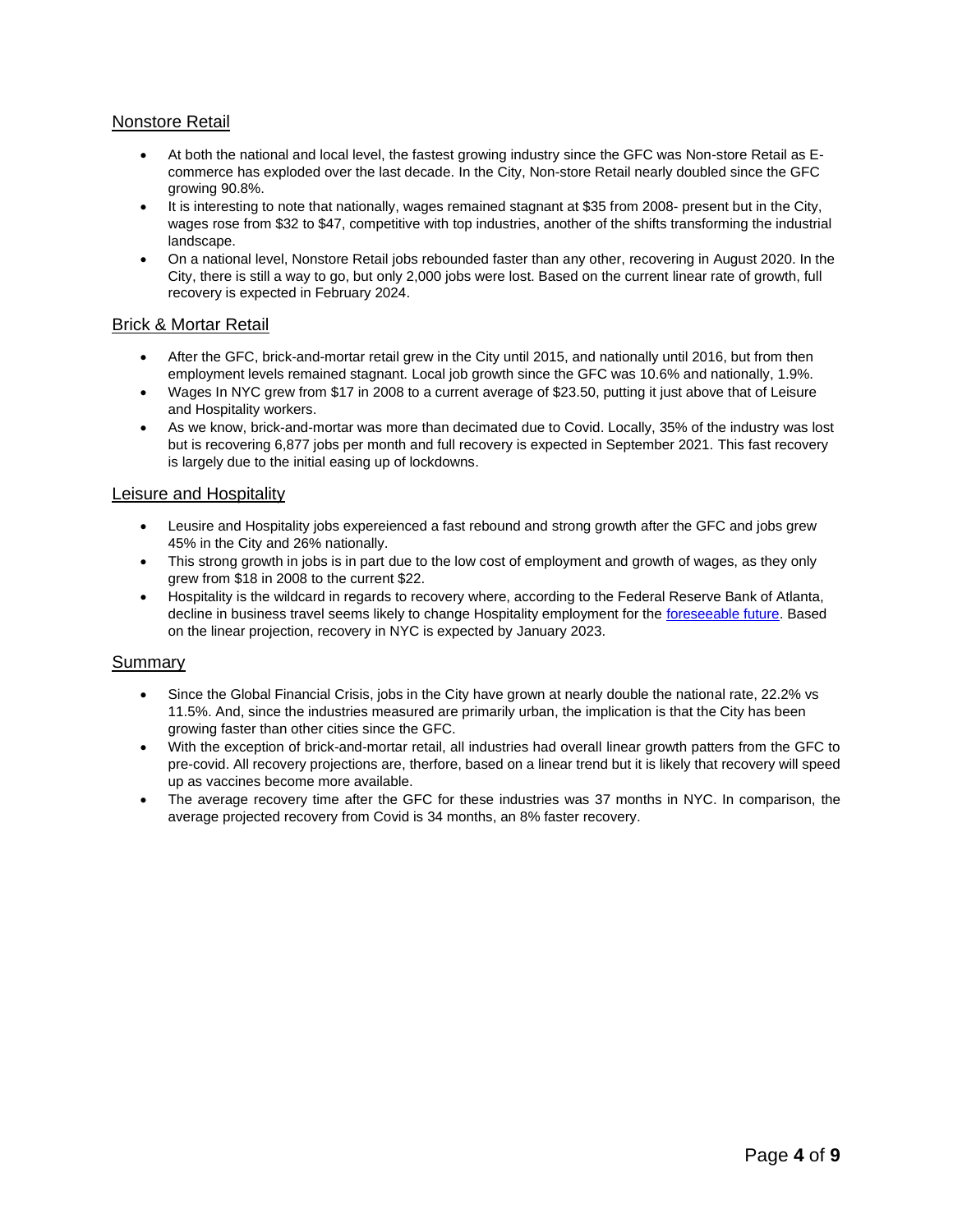### Nonstore Retail

- At both the national and local level, the fastest growing industry since the GFC was Non-store Retail as Ecommerce has exploded over the last decade. In the City, Non-store Retail nearly doubled since the GFC growing 90.8%.
- It is interesting to note that nationally, wages remained stagnant at \$35 from 2008- present but in the City, wages rose from \$32 to \$47, competitive with top industries, another of the shifts transforming the industrial landscape.
- On a national level, Nonstore Retail jobs rebounded faster than any other, recovering in August 2020. In the City, there is still a way to go, but only 2,000 jobs were lost. Based on the current linear rate of growth, full recovery is expected in February 2024.

### Brick & Mortar Retail

- After the GFC, brick-and-mortar retail grew in the City until 2015, and nationally until 2016, but from then employment levels remained stagnant. Local job growth since the GFC was 10.6% and nationally, 1.9%.
- Wages In NYC grew from \$17 in 2008 to a current average of \$23.50, putting it just above that of Leisure and Hospitality workers.
- As we know, brick-and-mortar was more than decimated due to Covid. Locally, 35% of the industry was lost but is recovering 6,877 jobs per month and full recovery is expected in September 2021. This fast recovery is largely due to the initial easing up of lockdowns.

### Leisure and Hospitality

- Leusire and Hospitality jobs expereienced a fast rebound and strong growth after the GFC and jobs grew 45% in the City and 26% nationally.
- This strong growth in jobs is in part due to the low cost of employment and growth of wages, as they only grew from \$18 in 2008 to the current \$22.
- Hospitality is the wildcard in regards to recovery where, according to the Federal Reserve Bank of Atlanta, decline in business travel seems likely to change Hospitality employment for the [foreseeable future.](https://www.frbatlanta.org/blogs/macroblog/2020/08/04/businesses-anticipate-slashing-postpandemic-travel-budgets) Based on the linear projection, recovery in NYC is expected by January 2023.

#### Summary

- Since the Global Financial Crisis, jobs in the City have grown at nearly double the national rate, 22.2% vs 11.5%. And, since the industries measured are primarily urban, the implication is that the City has been growing faster than other cities since the GFC.
- With the exception of brick-and-mortar retail, all industries had overall linear growth patters from the GFC to pre-covid. All recovery projections are, therfore, based on a linear trend but it is likely that recovery will speed up as vaccines become more available.
- The average recovery time after the GFC for these industries was 37 months in NYC. In comparison, the average projected recovery from Covid is 34 months, an 8% faster recovery.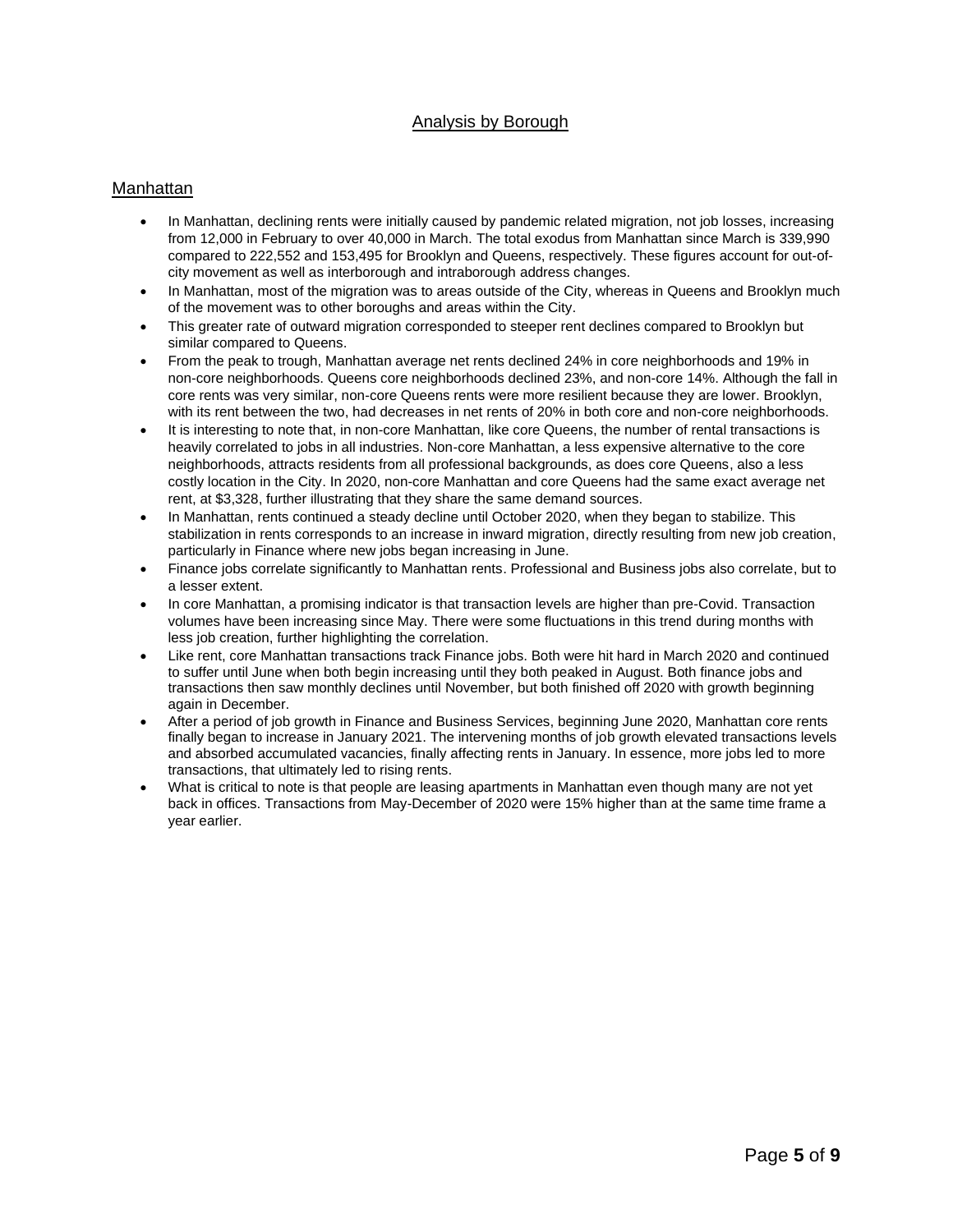# Analysis by Borough

### Manhattan

- In Manhattan, declining rents were initially caused by pandemic related migration, not job losses, increasing from 12,000 in February to over 40,000 in March. The total exodus from Manhattan since March is 339,990 compared to 222,552 and 153,495 for Brooklyn and Queens, respectively. These figures account for out-ofcity movement as well as interborough and intraborough address changes.
- In Manhattan, most of the migration was to areas outside of the City, whereas in Queens and Brooklyn much of the movement was to other boroughs and areas within the City.
- This greater rate of outward migration corresponded to steeper rent declines compared to Brooklyn but similar compared to Queens.
- From the peak to trough, Manhattan average net rents declined 24% in core neighborhoods and 19% in non-core neighborhoods. Queens core neighborhoods declined 23%, and non-core 14%. Although the fall in core rents was very similar, non-core Queens rents were more resilient because they are lower. Brooklyn, with its rent between the two, had decreases in net rents of 20% in both core and non-core neighborhoods.
- It is interesting to note that, in non-core Manhattan, like core Queens, the number of rental transactions is heavily correlated to jobs in all industries. Non-core Manhattan, a less expensive alternative to the core neighborhoods, attracts residents from all professional backgrounds, as does core Queens, also a less costly location in the City. In 2020, non-core Manhattan and core Queens had the same exact average net rent, at \$3,328, further illustrating that they share the same demand sources.
- In Manhattan, rents continued a steady decline until October 2020, when they began to stabilize. This stabilization in rents corresponds to an increase in inward migration, directly resulting from new job creation, particularly in Finance where new jobs began increasing in June.
- Finance jobs correlate significantly to Manhattan rents. Professional and Business jobs also correlate, but to a lesser extent.
- In core Manhattan, a promising indicator is that transaction levels are higher than pre-Covid. Transaction volumes have been increasing since May. There were some fluctuations in this trend during months with less job creation, further highlighting the correlation.
- Like rent, core Manhattan transactions track Finance jobs. Both were hit hard in March 2020 and continued to suffer until June when both begin increasing until they both peaked in August. Both finance jobs and transactions then saw monthly declines until November, but both finished off 2020 with growth beginning again in December.
- After a period of job growth in Finance and Business Services, beginning June 2020, Manhattan core rents finally began to increase in January 2021. The intervening months of job growth elevated transactions levels and absorbed accumulated vacancies, finally affecting rents in January. In essence, more jobs led to more transactions, that ultimately led to rising rents.
- What is critical to note is that people are leasing apartments in Manhattan even though many are not yet back in offices. Transactions from May-December of 2020 were 15% higher than at the same time frame a year earlier.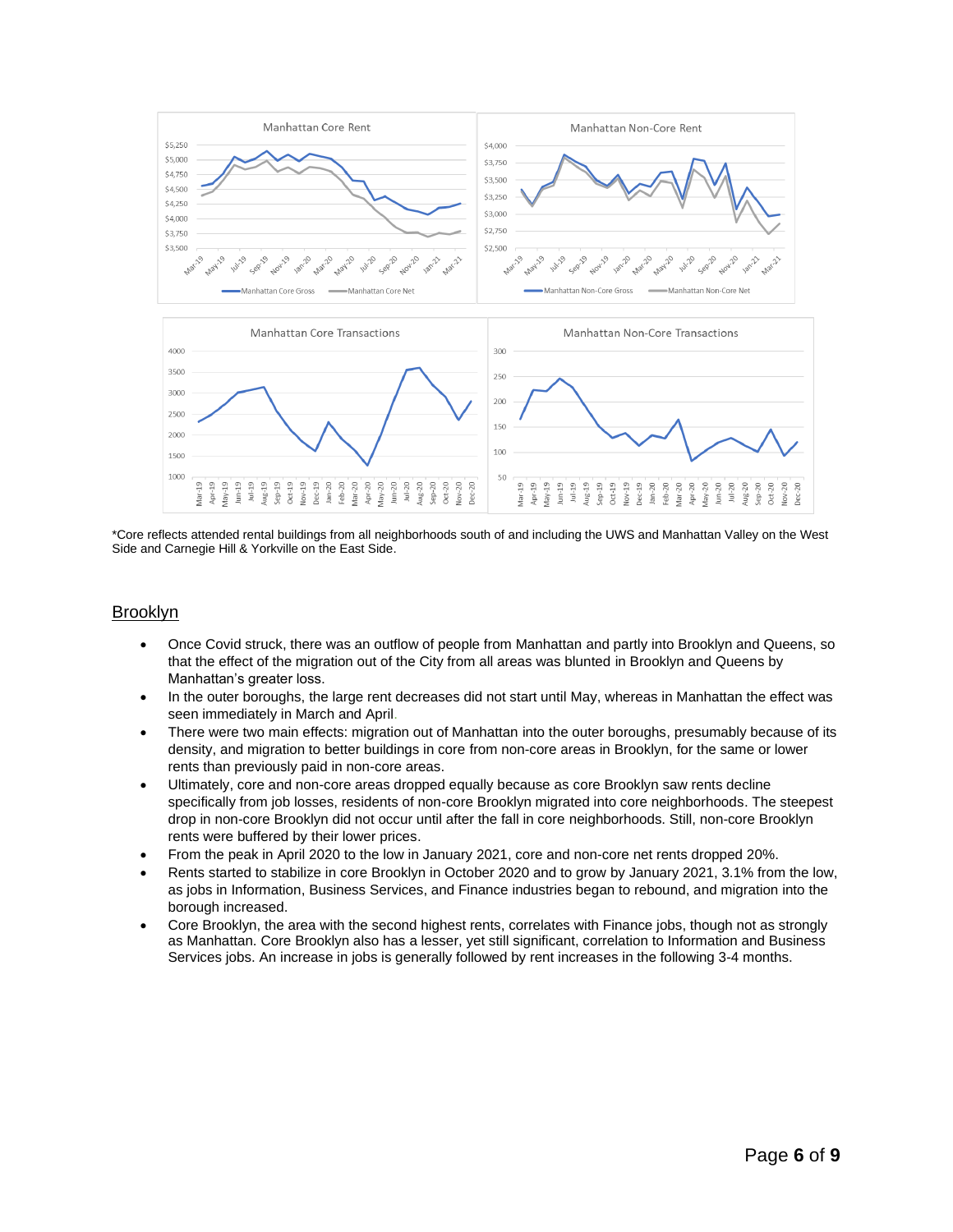

\*Core reflects attended rental buildings from all neighborhoods south of and including the UWS and Manhattan Valley on the West Side and Carnegie Hill & Yorkville on the East Side.

### Brooklyn

- Once Covid struck, there was an outflow of people from Manhattan and partly into Brooklyn and Queens, so that the effect of the migration out of the City from all areas was blunted in Brooklyn and Queens by Manhattan's greater loss.
- In the outer boroughs, the large rent decreases did not start until May, whereas in Manhattan the effect was seen immediately in March and April.
- There were two main effects: migration out of Manhattan into the outer boroughs, presumably because of its density, and migration to better buildings in core from non-core areas in Brooklyn, for the same or lower rents than previously paid in non-core areas.
- Ultimately, core and non-core areas dropped equally because as core Brooklyn saw rents decline specifically from job losses, residents of non-core Brooklyn migrated into core neighborhoods. The steepest drop in non-core Brooklyn did not occur until after the fall in core neighborhoods. Still, non-core Brooklyn rents were buffered by their lower prices.
- From the peak in April 2020 to the low in January 2021, core and non-core net rents dropped 20%.
- Rents started to stabilize in core Brooklyn in October 2020 and to grow by January 2021, 3.1% from the low, as jobs in Information, Business Services, and Finance industries began to rebound, and migration into the borough increased.
- Core Brooklyn, the area with the second highest rents, correlates with Finance jobs, though not as strongly as Manhattan. Core Brooklyn also has a lesser, yet still significant, correlation to Information and Business Services jobs. An increase in jobs is generally followed by rent increases in the following 3-4 months.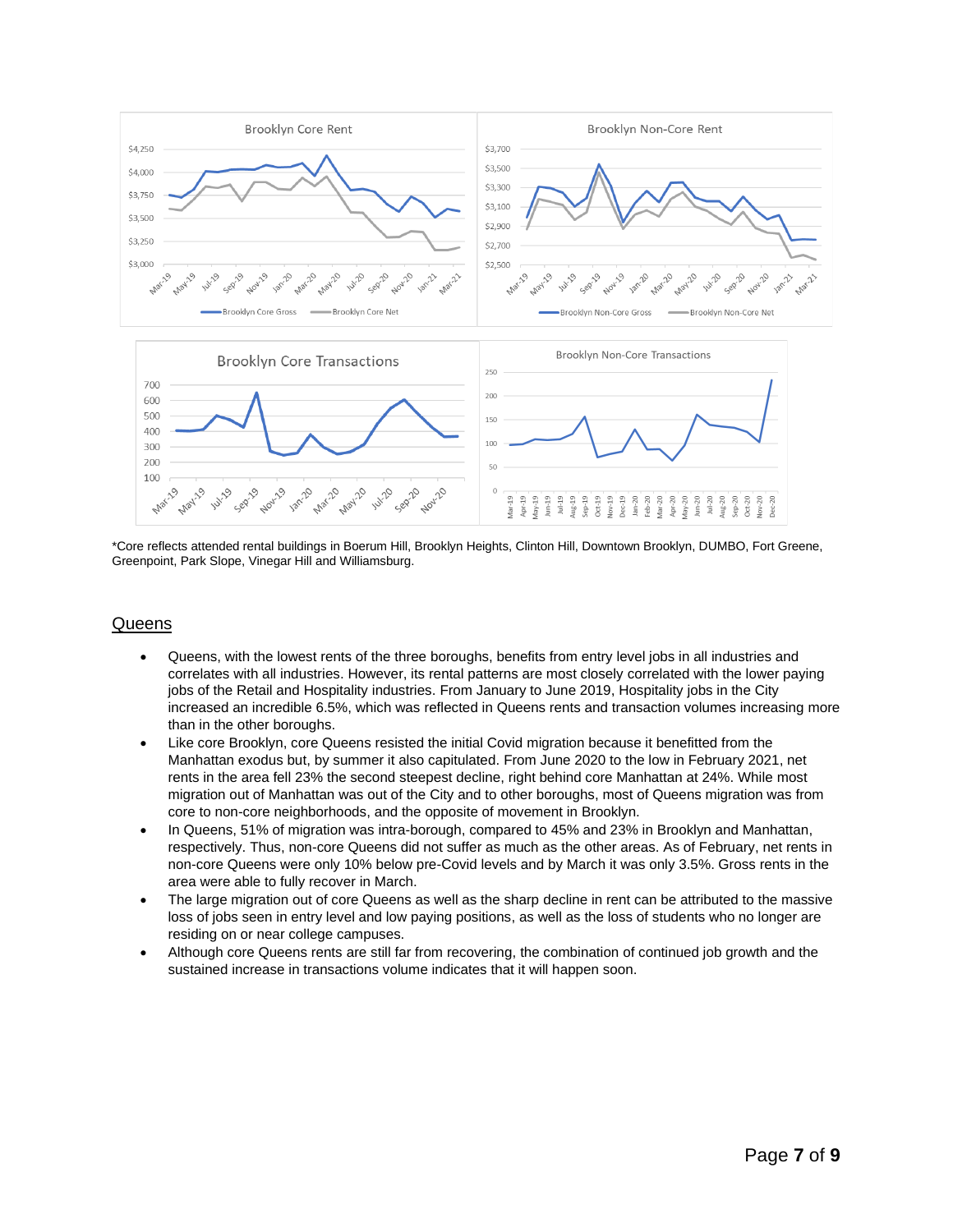

\*Core reflects attended rental buildings in Boerum Hill, Brooklyn Heights, Clinton Hill, Downtown Brooklyn, DUMBO, Fort Greene, Greenpoint, Park Slope, Vinegar Hill and Williamsburg.

### **Queens**

- Queens, with the lowest rents of the three boroughs, benefits from entry level jobs in all industries and correlates with all industries. However, its rental patterns are most closely correlated with the lower paying jobs of the Retail and Hospitality industries. From January to June 2019, Hospitality jobs in the City increased an incredible 6.5%, which was reflected in Queens rents and transaction volumes increasing more than in the other boroughs.
- Like core Brooklyn, core Queens resisted the initial Covid migration because it benefitted from the Manhattan exodus but, by summer it also capitulated. From June 2020 to the low in February 2021, net rents in the area fell 23% the second steepest decline, right behind core Manhattan at 24%. While most migration out of Manhattan was out of the City and to other boroughs, most of Queens migration was from core to non-core neighborhoods, and the opposite of movement in Brooklyn.
- In Queens, 51% of migration was intra-borough, compared to 45% and 23% in Brooklyn and Manhattan, respectively. Thus, non-core Queens did not suffer as much as the other areas. As of February, net rents in non-core Queens were only 10% below pre-Covid levels and by March it was only 3.5%. Gross rents in the area were able to fully recover in March.
- The large migration out of core Queens as well as the sharp decline in rent can be attributed to the massive loss of jobs seen in entry level and low paying positions, as well as the loss of students who no longer are residing on or near college campuses.
- Although core Queens rents are still far from recovering, the combination of continued job growth and the sustained increase in transactions volume indicates that it will happen soon.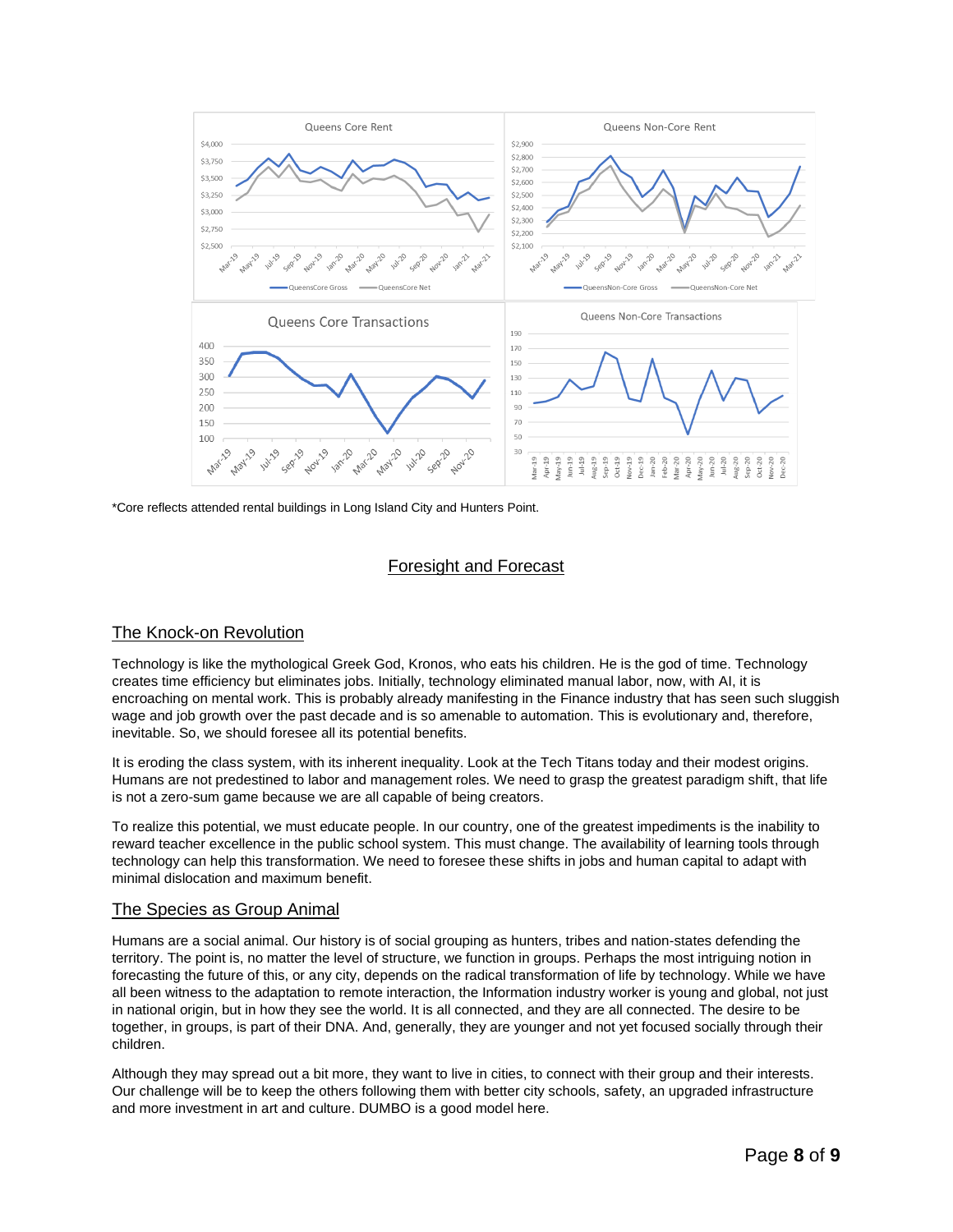

\*Core reflects attended rental buildings in Long Island City and Hunters Point.

### Foresight and Forecast

### The Knock-on Revolution

Technology is like the mythological Greek God, Kronos, who eats his children. He is the god of time. Technology creates time efficiency but eliminates jobs. Initially, technology eliminated manual labor, now, with AI, it is encroaching on mental work. This is probably already manifesting in the Finance industry that has seen such sluggish wage and job growth over the past decade and is so amenable to automation. This is evolutionary and, therefore, inevitable. So, we should foresee all its potential benefits.

It is eroding the class system, with its inherent inequality. Look at the Tech Titans today and their modest origins. Humans are not predestined to labor and management roles. We need to grasp the greatest paradigm shift, that life is not a zero-sum game because we are all capable of being creators.

To realize this potential, we must educate people. In our country, one of the greatest impediments is the inability to reward teacher excellence in the public school system. This must change. The availability of learning tools through technology can help this transformation. We need to foresee these shifts in jobs and human capital to adapt with minimal dislocation and maximum benefit.

#### The Species as Group Animal

Humans are a social animal. Our history is of social grouping as hunters, tribes and nation-states defending the territory. The point is, no matter the level of structure, we function in groups. Perhaps the most intriguing notion in forecasting the future of this, or any city, depends on the radical transformation of life by technology. While we have all been witness to the adaptation to remote interaction, the Information industry worker is young and global, not just in national origin, but in how they see the world. It is all connected, and they are all connected. The desire to be together, in groups, is part of their DNA. And, generally, they are younger and not yet focused socially through their children.

Although they may spread out a bit more, they want to live in cities, to connect with their group and their interests. Our challenge will be to keep the others following them with better city schools, safety, an upgraded infrastructure and more investment in art and culture. DUMBO is a good model here.